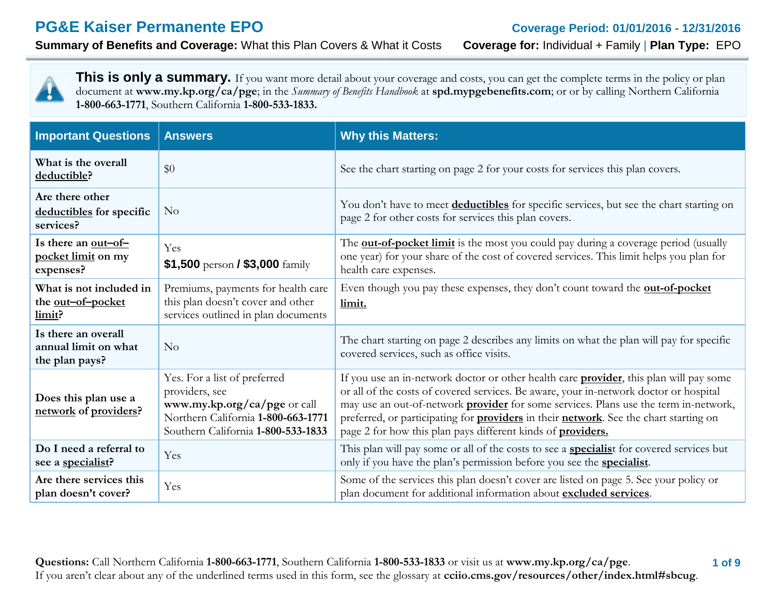# **PG&E Kaiser Permanente EPO Coverage Period: 01/01/2016 - 12/31/2016**

**Summary of Benefits and Coverage:** What this Plan Covers & What it Costs **Coverage for:** Individual + Family | **Plan Type:** EPO

This is only a summary. If you want more detail about your coverage and costs, you can get the complete terms in the policy or plan document at **[www.my.kp.org/ca/pge](http://www.my.kp.org/ca/pge)**; in the *Summary of Benefits Handbook* at **spd.mypgebenefits.com**; or or by calling Northern California **1-800-663-1771**, Southern California **1-800-533-1833.**

| <b>Important Questions</b>                                    | <b>Answers</b>                                                                                                                                             | <b>Why this Matters:</b>                                                                                                                                                                                                                                                                                                                                                                                                                                     |
|---------------------------------------------------------------|------------------------------------------------------------------------------------------------------------------------------------------------------------|--------------------------------------------------------------------------------------------------------------------------------------------------------------------------------------------------------------------------------------------------------------------------------------------------------------------------------------------------------------------------------------------------------------------------------------------------------------|
| What is the overall<br>deductible?                            | \$0                                                                                                                                                        | See the chart starting on page 2 for your costs for services this plan covers.                                                                                                                                                                                                                                                                                                                                                                               |
| Are there other<br>deductibles for specific<br>services?      | $\rm No$                                                                                                                                                   | You don't have to meet deductibles for specific services, but see the chart starting on<br>page 2 for other costs for services this plan covers.                                                                                                                                                                                                                                                                                                             |
| Is there an out-of-<br>pocket limit on my<br>expenses?        | Yes<br>\$1,500 person / \$3,000 family                                                                                                                     | The <b>out-of-pocket limit</b> is the most you could pay during a coverage period (usually<br>one year) for your share of the cost of covered services. This limit helps you plan for<br>health care expenses.                                                                                                                                                                                                                                               |
| What is not included in<br>the out-of-pocket<br>limit?        | Premiums, payments for health care<br>this plan doesn't cover and other<br>services outlined in plan documents                                             | Even though you pay these expenses, they don't count toward the <b>out-of-pocket</b><br>limit.                                                                                                                                                                                                                                                                                                                                                               |
| Is there an overall<br>annual limit on what<br>the plan pays? | No                                                                                                                                                         | The chart starting on page 2 describes any limits on what the plan will pay for specific<br>covered services, such as office visits.                                                                                                                                                                                                                                                                                                                         |
| Does this plan use a<br>network of providers?                 | Yes. For a list of preferred<br>providers, see<br>www.my.kp.org/ca/pge or call<br>Northern California 1-800-663-1771<br>Southern California 1-800-533-1833 | If you use an in-network doctor or other health care <b>provider</b> , this plan will pay some<br>or all of the costs of covered services. Be aware, your in-network doctor or hospital<br>may use an out-of-network <b>provider</b> for some services. Plans use the term in-network,<br>preferred, or participating for <b>providers</b> in their network. See the chart starting on<br>page 2 for how this plan pays different kinds of <b>providers.</b> |
| Do I need a referral to<br>see a specialist?                  | Yes                                                                                                                                                        | This plan will pay some or all of the costs to see a <b>specialis</b> t for covered services but<br>only if you have the plan's permission before you see the <b>specialist</b> .                                                                                                                                                                                                                                                                            |
| Are there services this<br>plan doesn't cover?                | Yes                                                                                                                                                        | Some of the services this plan doesn't cover are listed on page 5. See your policy or<br>plan document for additional information about excluded services.                                                                                                                                                                                                                                                                                                   |

 **1 of 9 Questions:** Call Northern California **1-800-663-1771**, Southern California **1-800-533-1833** or visit us at **[www.my.kp.org/ca/pge](http://www.my.kp.org/ca/pge)**. If you aren't clear about any of the underlined terms used in this form, see the glossary at **cciio.cms.gov/resources/other/index.html#sbcug**.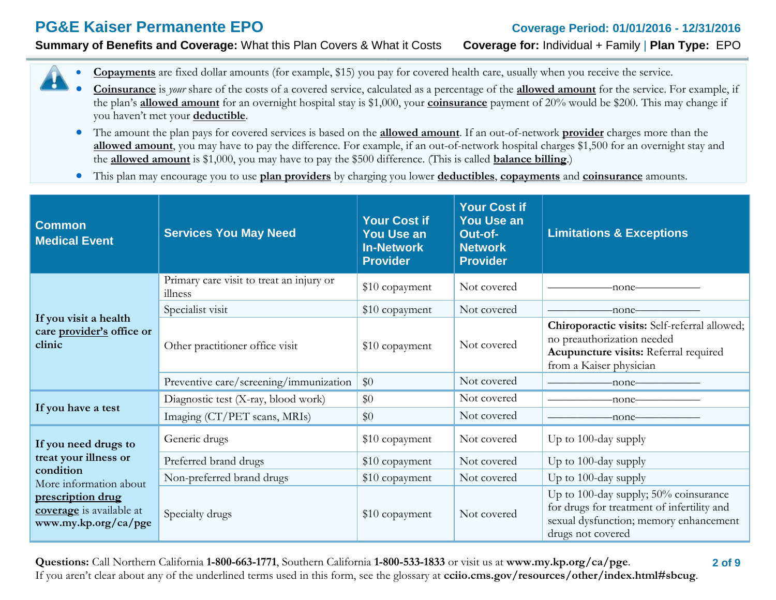# **PG&E Kaiser Permanente EPO Coverage Period: 01/01/2016 - 12/31/2016**

**Summary of Benefits and Coverage:** What this Plan Covers & What it Costs **Coverage for:** Individual + Family | **Plan Type:** EPO



- **Coinsurance** is *your* share of the costs of a covered service, calculated as a percentage of the **allowed amount** for the service. For example, if the plan's **allowed amount** for an overnight hospital stay is \$1,000, your **coinsurance** payment of 20% would be \$200. This may change if you haven't met your **deductible**.
- The amount the plan pays for covered services is based on the **allowed amount**. If an out-of-network **provider** charges more than the **allowed amount**, you may have to pay the difference. For example, if an out-of-network hospital charges \$1,500 for an overnight stay and the **allowed amount** is \$1,000, you may have to pay the \$500 difference. (This is called **balance billing**.)
- This plan may encourage you to use **plan providers** by charging you lower **deductibles**, **copayments** and **coinsurance** amounts.

| <b>Common</b><br><b>Medical Event</b>                                                                        | <b>Services You May Need</b>                        | <b>Your Cost if</b><br><b>You Use an</b><br><b>In-Network</b><br><b>Provider</b> | <b>Your Cost if</b><br><b>You Use an</b><br>Out-of-<br><b>Network</b><br><b>Provider</b> | <b>Limitations &amp; Exceptions</b>                                                                                                                |
|--------------------------------------------------------------------------------------------------------------|-----------------------------------------------------|----------------------------------------------------------------------------------|------------------------------------------------------------------------------------------|----------------------------------------------------------------------------------------------------------------------------------------------------|
|                                                                                                              | Primary care visit to treat an injury or<br>illness | \$10 copayment                                                                   | Not covered                                                                              | -none-                                                                                                                                             |
|                                                                                                              | Specialist visit                                    | \$10 copayment                                                                   | Not covered                                                                              | -none-                                                                                                                                             |
| If you visit a health<br>care provider's office or<br>clinic                                                 | Other practitioner office visit                     | \$10 copayment                                                                   | Not covered                                                                              | Chiroporactic visits: Self-referral allowed;<br>no preauthorization needed<br>Acupuncture visits: Referral required<br>from a Kaiser physician     |
|                                                                                                              | Preventive care/screening/immunization              | \$0                                                                              | Not covered                                                                              | -none-                                                                                                                                             |
|                                                                                                              | Diagnostic test (X-ray, blood work)                 | \$0                                                                              | Not covered                                                                              | -none–                                                                                                                                             |
| If you have a test                                                                                           | Imaging (CT/PET scans, MRIs)                        | \$0                                                                              | Not covered                                                                              | -none-                                                                                                                                             |
| If you need drugs to                                                                                         | Generic drugs                                       | \$10 copayment                                                                   | Not covered                                                                              | Up to 100-day supply                                                                                                                               |
| treat your illness or                                                                                        | Preferred brand drugs                               | \$10 copayment                                                                   | Not covered                                                                              | Up to 100-day supply                                                                                                                               |
| condition<br>More information about<br>prescription drug<br>coverage is available at<br>www.my.kp.org/ca/pge | Non-preferred brand drugs                           | \$10 copayment                                                                   | Not covered                                                                              | Up to 100-day supply                                                                                                                               |
|                                                                                                              | Specialty drugs                                     | \$10 copayment                                                                   | Not covered                                                                              | Up to 100-day supply; 50% coinsurance<br>for drugs for treatment of infertility and<br>sexual dysfunction; memory enhancement<br>drugs not covered |

 **2 of 9 Questions:** Call Northern California **1-800-663-1771**, Southern California **1-800-533-1833** or visit us at **[www.my.kp.org/ca/pge](http://www.my.kp.org/ca/pge)**. If you aren't clear about any of the underlined terms used in this form, see the glossary at **cciio.cms.gov/resources/other/index.html#sbcug**.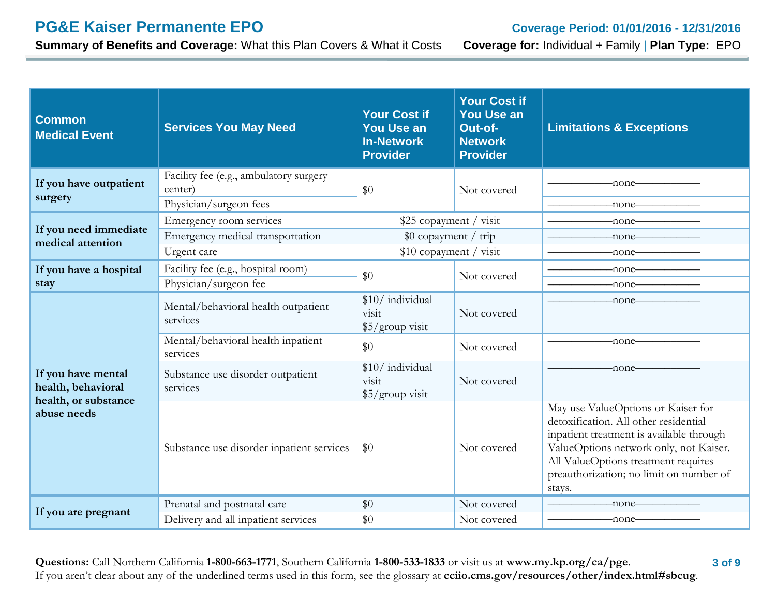**Summary of Benefits and Coverage:** What this Plan Covers & What it Costs **Coverage for:** Individual + Family | **Plan Type:** EPO

| <b>Common</b><br><b>Medical Event</b>                            | <b>Services You May Need</b>                                                | <b>Your Cost if</b><br><b>You Use an</b><br><b>In-Network</b><br><b>Provider</b> | <b>Your Cost if</b><br><b>You Use an</b><br>Out-of-<br><b>Network</b><br><b>Provider</b> | <b>Limitations &amp; Exceptions</b>                                                                                                                                                                                                                                                                                               |
|------------------------------------------------------------------|-----------------------------------------------------------------------------|----------------------------------------------------------------------------------|------------------------------------------------------------------------------------------|-----------------------------------------------------------------------------------------------------------------------------------------------------------------------------------------------------------------------------------------------------------------------------------------------------------------------------------|
| If you have outpatient<br>surgery                                | Facility fee (e.g., ambulatory surgery<br>center)<br>Physician/surgeon fees | \$0                                                                              | Not covered                                                                              | $-$ none $-$<br>-none-                                                                                                                                                                                                                                                                                                            |
| If you need immediate<br>medical attention                       | Emergency room services<br>Emergency medical transportation<br>Urgent care  | \$25 copayment / visit<br>\$0 copayment / trip<br>\$10 copayment / visit         |                                                                                          | -none-<br>-none-<br>-none-                                                                                                                                                                                                                                                                                                        |
| If you have a hospital<br>stay                                   | Facility fee (e.g., hospital room)<br>Physician/surgeon fee                 | \$0                                                                              | Not covered                                                                              | -none-<br>-none-                                                                                                                                                                                                                                                                                                                  |
| If you have mental<br>health, behavioral<br>health, or substance | Mental/behavioral health outpatient<br>services                             | \$10/ individual<br>visit<br>$$5/$ group visit                                   | Not covered                                                                              | -none-                                                                                                                                                                                                                                                                                                                            |
|                                                                  | Mental/behavioral health inpatient<br>services                              | \$0                                                                              | Not covered                                                                              | $-$ none $-$                                                                                                                                                                                                                                                                                                                      |
|                                                                  | Substance use disorder outpatient<br>services                               | \$10/ individual<br>visit<br>\$5/group visit                                     | Not covered                                                                              | $-none$ — $\qquad$ — $\qquad$ — $\qquad$ — $\qquad$ — $\qquad$ — $\qquad$ — $\qquad$ — $\qquad$ — $\qquad$ — $\qquad$ — $\qquad$ $\qquad$ $\qquad$ $\qquad$ $\qquad$ $\qquad$ $\qquad$ $\qquad$ $\qquad$ $\qquad$ $\qquad$ $\qquad$ $\qquad$ $\qquad$ $\qquad$ $\qquad$ $\qquad$ $\qquad$ $\qquad$ $\qquad$ $\qquad$ $\qquad$ $\$ |
| abuse needs                                                      | Substance use disorder inpatient services                                   | \$0                                                                              | Not covered                                                                              | May use ValueOptions or Kaiser for<br>detoxification. All other residential<br>inpatient treatment is available through<br>ValueOptions network only, not Kaiser.<br>All ValueOptions treatment requires<br>preauthorization; no limit on number of<br>stays.                                                                     |
| If you are pregnant                                              | Prenatal and postnatal care                                                 | \$0                                                                              | Not covered                                                                              | -none-                                                                                                                                                                                                                                                                                                                            |
|                                                                  | Delivery and all inpatient services                                         | \$0                                                                              | Not covered                                                                              | -none-                                                                                                                                                                                                                                                                                                                            |

 **3 of 9 Questions:** Call Northern California **1-800-663-1771**, Southern California **1-800-533-1833** or visit us at **[www.my.kp.org/ca/pge](http://www.my.kp.org/ca/pge)**. If you aren't clear about any of the underlined terms used in this form, see the glossary at **cciio.cms.gov/resources/other/index.html#sbcug**.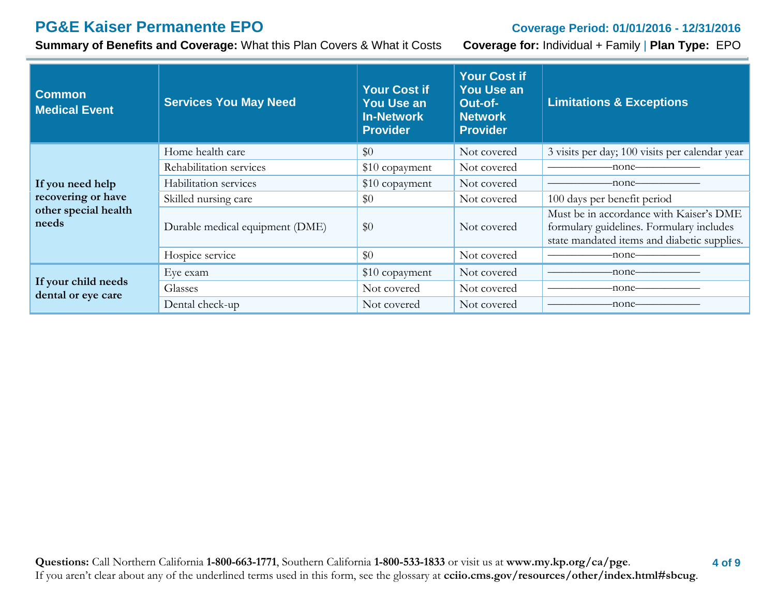# **PG&E Kaiser Permanente EPO Coverage Period: 01/01/2016 - 12/31/2016**

**Summary of Benefits and Coverage:** What this Plan Covers & What it Costs **Coverage for:** Individual + Family | **Plan Type:** EPO

| <b>Common</b><br><b>Medical Event</b>                                   | <b>Services You May Need</b>    | <b>Your Cost if</b><br><b>You Use an</b><br>In-Network<br><b>Provider</b> | <b>Your Cost if</b><br><b>You Use an</b><br>Out-of-<br><b>Network</b><br><b>Provider</b> | <b>Limitations &amp; Exceptions</b>                                                                                                |
|-------------------------------------------------------------------------|---------------------------------|---------------------------------------------------------------------------|------------------------------------------------------------------------------------------|------------------------------------------------------------------------------------------------------------------------------------|
|                                                                         | Home health care                | \$0                                                                       | Not covered                                                                              | 3 visits per day; 100 visits per calendar year                                                                                     |
| If you need help<br>recovering or have<br>other special health<br>needs | Rehabilitation services         | \$10 copayment                                                            | Not covered                                                                              | -none-                                                                                                                             |
|                                                                         | Habilitation services           | \$10 copayment                                                            | Not covered                                                                              | -none–                                                                                                                             |
|                                                                         | Skilled nursing care            | \$0                                                                       | Not covered                                                                              | 100 days per benefit period                                                                                                        |
|                                                                         | Durable medical equipment (DME) | \$0                                                                       | Not covered                                                                              | Must be in accordance with Kaiser's DME<br>formulary guidelines. Formulary includes<br>state mandated items and diabetic supplies. |
|                                                                         | Hospice service                 | \$0                                                                       | Not covered                                                                              | -none–                                                                                                                             |
|                                                                         | Eye exam                        | \$10 copayment                                                            | Not covered                                                                              | -none—                                                                                                                             |
| If your child needs<br>dental or eye care                               | Glasses                         | Not covered                                                               | Not covered                                                                              |                                                                                                                                    |
|                                                                         | Dental check-up                 | Not covered                                                               | Not covered                                                                              | -none–                                                                                                                             |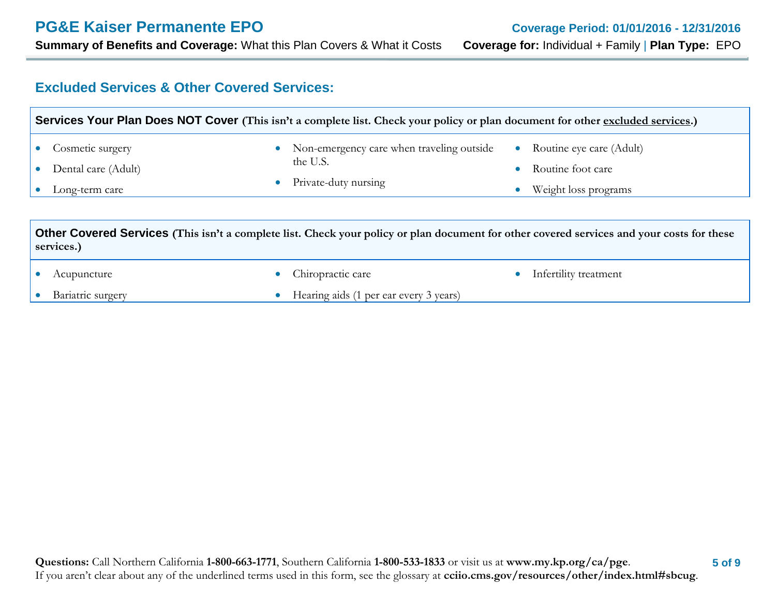### **Excluded Services & Other Covered Services:**

| Services Your Plan Does NOT Cover (This isn't a complete list. Check your policy or plan document for other excluded services.)                          |                                                                                                         |                                                                       |  |  |
|----------------------------------------------------------------------------------------------------------------------------------------------------------|---------------------------------------------------------------------------------------------------------|-----------------------------------------------------------------------|--|--|
| Cosmetic surgery<br>Dental care (Adult)<br>Long-term care                                                                                                | Non-emergency care when traveling outside<br>$\bullet$<br>the U.S.<br>Private-duty nursing<br>$\bullet$ | Routine eye care (Adult)<br>Routine foot care<br>Weight loss programs |  |  |
| Other Covered Services (This isn't a complete list. Check your policy or plan document for other covered services and your costs for these<br>services.) |                                                                                                         |                                                                       |  |  |
| Acupuncture                                                                                                                                              | Chiropractic care<br>$\bullet$                                                                          | Infertility treatment                                                 |  |  |
| Bariatric surgery                                                                                                                                        | Hearing aids (1 per ear every 3 years)                                                                  |                                                                       |  |  |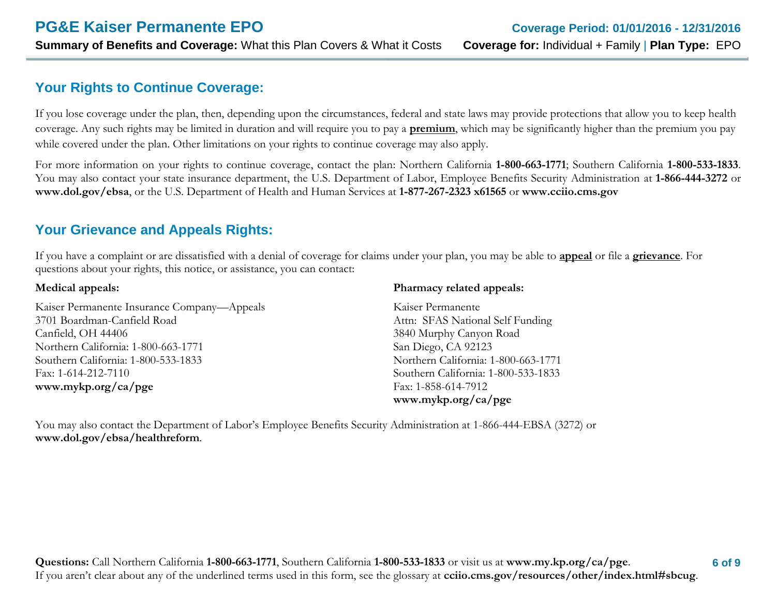### **Your Rights to Continue Coverage:**

If you lose coverage under the plan, then, depending upon the circumstances, federal and state laws may provide protections that allow you to keep health coverage. Any such rights may be limited in duration and will require you to pay a **premium**, which may be significantly higher than the premium you pay while covered under the plan. Other limitations on your rights to continue coverage may also apply.

For more information on your rights to continue coverage, contact the plan: Northern California **1-800-663-1771**; Southern California **1-800-533-1833**. You may also contact your state insurance department, the U.S. Department of Labor, Employee Benefits Security Administration at **1-866-444-3272** or **[www.dol.gov/ebsa](http://www.dol.gov/ebsa)**, or the U.S. Department of Health and Human Services at **1-877-267-2323 x61565** or **[www.cciio.cms.gov](http://www.cciio.cms.gov/)**

### **Your Grievance and Appeals Rights:**

If you have a complaint or are dissatisfied with a denial of coverage for claims under your plan, you may be able to **appeal** or file a **grievance**. For questions about your rights, this notice, or assistance, you can contact:

#### **Medical appeals:**

Kaiser Permanente Insurance Company—Appeals 3701 Boardman-Canfield Road Canfield, OH 44406 Northern California: 1-800-663-1771 Southern California: 1-800-533-1833 Fax: 1-614-212-7110 **[www.mykp.org/ca/pge](http://www.mykp.org/ca/pge)**

#### **Pharmacy related appeals:**

Kaiser Permanente Attn: SFAS National Self Funding 3840 Murphy Canyon Road San Diego, CA 92123 Northern California: 1-800-663-1771 Southern California: 1-800-533-1833 Fax: 1-858-614-7912 **[www.mykp.org/ca/pge](http://www.mykp.org/ca/pge)**

You may also contact the Department of Labor's Employee Benefits Security Administration at 1-866-444-EBSA (3272) or **[www.dol.gov/ebsa/healthreform](http://www.dol.gov/ebsa/healthreform)**.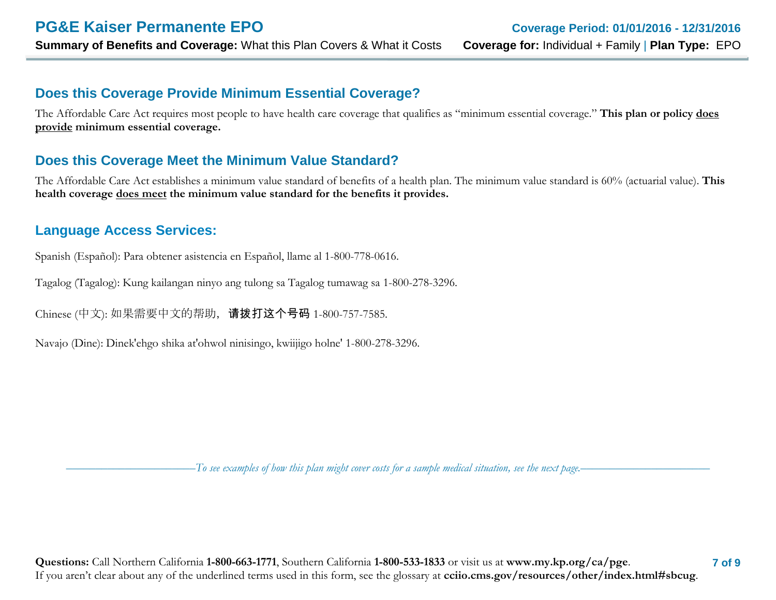### **Does this Coverage Provide Minimum Essential Coverage?**

The Affordable Care Act requires most people to have health care coverage that qualifies as "minimum essential coverage." **This plan or policy does provide minimum essential coverage.** 

### **Does this Coverage Meet the Minimum Value Standard?**

The Affordable Care Act establishes a minimum value standard of benefits of a health plan. The minimum value standard is 60% (actuarial value). **This health coverage does meet the minimum value standard for the benefits it provides.** 

### **Language Access Services:**

Spanish (Español): Para obtener asistencia en Español, llame al 1-800-778-0616.

Tagalog (Tagalog): Kung kailangan ninyo ang tulong sa Tagalog tumawag sa 1-800-278-3296.

Chinese (中文): 如果需要中文的帮助,请拨打这个号码 1-800-757-7585.

Navajo (Dine): Dinek'ehgo shika at'ohwol ninisingo, kwiijigo holne' 1-800-278-3296.

––––––––––––––––––––––*To see examples of how this plan might cover costs for a sample medical situation, see the next page.–––––––––––*–––––––––––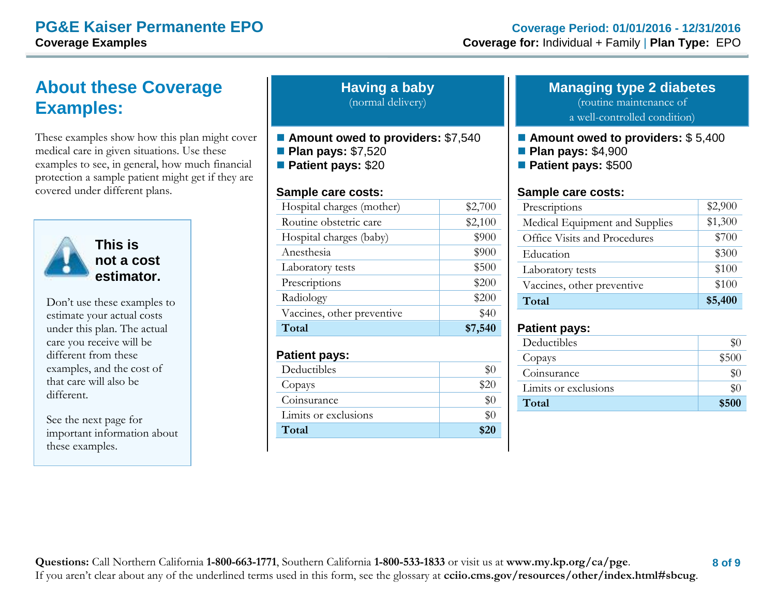# **About these Coverage Examples:**

These examples show how this plan might cover medical care in given situations. Use these examples to see, in general, how much financial protection a sample patient might get if they are covered under different plans.



**This is not a cost estimator.** 

Don't use these examples to estimate your actual costs under this plan. The actual care you receive will be different from these examples, and the cost of that care will also be different.

See the next page for important information about these examples.

**Having a baby** (normal delivery)

- Amount owed to providers: \$7,540
- **Plan pays:** \$7,520
- **Patient pays:** \$20

#### **Sample care costs:**

| Hospital charges (mother)  | \$2,700 |
|----------------------------|---------|
| Routine obstetric care     | \$2,100 |
| Hospital charges (baby)    | \$900   |
| Anesthesia                 | \$900   |
| Laboratory tests           | \$500   |
| Prescriptions              | \$200   |
| Radiology                  | \$200   |
| Vaccines, other preventive | \$40    |
| Total                      | \$7,540 |

#### **Patient pays:**

| Deductibles          |      |
|----------------------|------|
| Copays               | \$20 |
| Coinsurance          |      |
| Limits or exclusions |      |
| Total                | \$20 |

# **Managing type 2 diabetes** (routine maintenance of

a well-controlled condition)

- Amount owed to providers: \$5,400
- **Plan pays:** \$4,900
- **Patient pays:** \$500

#### **Sample care costs:**

| Prescriptions                  | \$2,900 |
|--------------------------------|---------|
| Medical Equipment and Supplies | \$1,300 |
| Office Visits and Procedures   | \$700   |
| Education                      | \$300   |
| Laboratory tests               | \$100   |
| Vaccines, other preventive     | \$100   |
| Total                          | \$5,400 |

### **Patient pays:**

| Deductibles          | \$0   |
|----------------------|-------|
| Copays               | \$500 |
| Coinsurance          | \$0   |
| Limits or exclusions | $\$0$ |
| Total                | \$500 |
|                      |       |